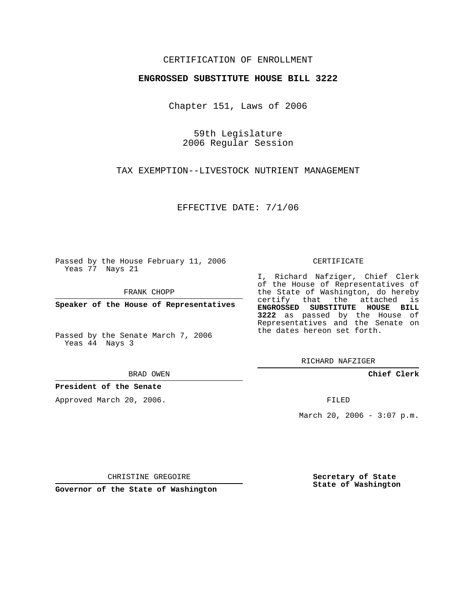## CERTIFICATION OF ENROLLMENT

#### **ENGROSSED SUBSTITUTE HOUSE BILL 3222**

Chapter 151, Laws of 2006

59th Legislature 2006 Regular Session

TAX EXEMPTION--LIVESTOCK NUTRIENT MANAGEMENT

EFFECTIVE DATE: 7/1/06

Passed by the House February 11, 2006 Yeas 77 Nays 21

FRANK CHOPP

**Speaker of the House of Representatives**

Passed by the Senate March 7, 2006 Yeas 44 Nays 3

BRAD OWEN

### **President of the Senate**

Approved March 20, 2006.

CERTIFICATE

I, Richard Nafziger, Chief Clerk of the House of Representatives of the State of Washington, do hereby certify that the attached is **ENGROSSED SUBSTITUTE HOUSE BILL 3222** as passed by the House of Representatives and the Senate on the dates hereon set forth.

RICHARD NAFZIGER

**Chief Clerk**

FILED

March 20, 2006 -  $3:07$  p.m.

CHRISTINE GREGOIRE

**Governor of the State of Washington**

**Secretary of State State of Washington**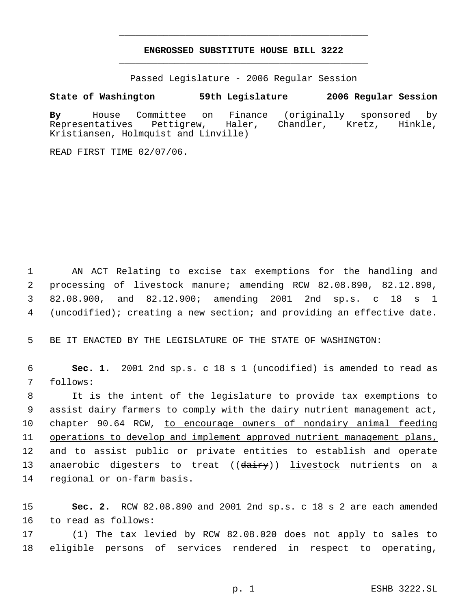# **ENGROSSED SUBSTITUTE HOUSE BILL 3222** \_\_\_\_\_\_\_\_\_\_\_\_\_\_\_\_\_\_\_\_\_\_\_\_\_\_\_\_\_\_\_\_\_\_\_\_\_\_\_\_\_\_\_\_\_

\_\_\_\_\_\_\_\_\_\_\_\_\_\_\_\_\_\_\_\_\_\_\_\_\_\_\_\_\_\_\_\_\_\_\_\_\_\_\_\_\_\_\_\_\_

Passed Legislature - 2006 Regular Session

### **State of Washington 59th Legislature 2006 Regular Session**

**By** House Committee on Finance (originally sponsored by Representatives Pettigrew, Haler, Chandler, Kretz, Hinkle, Kristiansen, Holmquist and Linville)

READ FIRST TIME 02/07/06.

 AN ACT Relating to excise tax exemptions for the handling and processing of livestock manure; amending RCW 82.08.890, 82.12.890, 82.08.900, and 82.12.900; amending 2001 2nd sp.s. c 18 s 1 (uncodified); creating a new section; and providing an effective date.

BE IT ENACTED BY THE LEGISLATURE OF THE STATE OF WASHINGTON:

 **Sec. 1.** 2001 2nd sp.s. c 18 s 1 (uncodified) is amended to read as follows:

 It is the intent of the legislature to provide tax exemptions to assist dairy farmers to comply with the dairy nutrient management act, chapter 90.64 RCW, to encourage owners of nondairy animal feeding operations to develop and implement approved nutrient management plans, and to assist public or private entities to establish and operate 13 anaerobic digesters to treat ((dairy)) livestock nutrients on a regional or on-farm basis.

 **Sec. 2.** RCW 82.08.890 and 2001 2nd sp.s. c 18 s 2 are each amended to read as follows:

 (1) The tax levied by RCW 82.08.020 does not apply to sales to eligible persons of services rendered in respect to operating,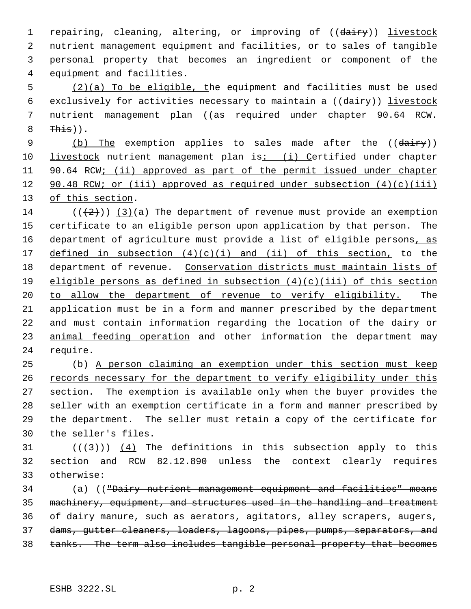1 repairing, cleaning, altering, or improving of ((dairy)) livestock nutrient management equipment and facilities, or to sales of tangible personal property that becomes an ingredient or component of the equipment and facilities.

 5 (2)(a) To be eligible, the equipment and facilities must be used 6 exclusively for activities necessary to maintain a ((dairy)) livestock 7 nutrient management plan ((as required under chapter 90.64 RCW.  $8$  This)).

9 (b) The exemption applies to sales made after the ((dairy)) 10 livestock nutrient management plan is: (i) Certified under chapter 11 90.64 RCW; (ii) approved as part of the permit issued under chapter 12 90.48 RCW; or (iii) approved as required under subsection (4)(c)(iii) 13 of this section.

14  $((+2)^{n})$  (3)(a) The department of revenue must provide an exemption 15 certificate to an eligible person upon application by that person. The 16 department of agriculture must provide a list of eligible persons, as 17 defined in subsection  $(4)(c)(i)$  and  $(ii)$  of this section, to the 18 department of revenue. Conservation districts must maintain lists of 19 eligible persons as defined in subsection  $(4)(c)(iii)$  of this section 20 to allow the department of revenue to verify eligibility. The 21 application must be in a form and manner prescribed by the department 22 and must contain information regarding the location of the dairy or 23 animal feeding operation and other information the department may 24 require.

 (b) A person claiming an exemption under this section must keep 26 records necessary for the department to verify eligibility under this 27 section. The exemption is available only when the buyer provides the seller with an exemption certificate in a form and manner prescribed by the department. The seller must retain a copy of the certificate for the seller's files.

31  $((\langle 3 \rangle)(4)$  The definitions in this subsection apply to this 32 section and RCW 82.12.890 unless the context clearly requires 33 otherwise:

34 (a) (("Dairy nutrient management equipment and facilities" means machinery, equipment, and structures used in the handling and treatment of dairy manure, such as aerators, agitators, alley scrapers, augers, dams, gutter cleaners, loaders, lagoons, pipes, pumps, separators, and tanks. The term also includes tangible personal property that becomes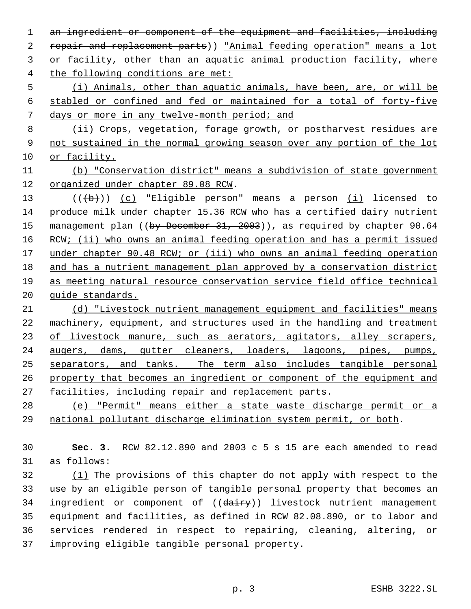1 an ingredient or component of the equipment and facilities, including 2 repair and replacement parts)) "Animal feeding operation" means a lot or facility, other than an aquatic animal production facility, where the following conditions are met: (i) Animals, other than aquatic animals, have been, are, or will be stabled or confined and fed or maintained for a total of forty-five days or more in any twelve-month period; and (ii) Crops, vegetation, forage growth, or postharvest residues are not sustained in the normal growing season over any portion of the lot or facility. (b) "Conservation district" means a subdivision of state government organized under chapter 89.08 RCW. 13 (((b))) (c) "Eligible person" means a person (i) licensed to produce milk under chapter 15.36 RCW who has a certified dairy nutrient 15 management plan ((by December 31, 2003)), as required by chapter 90.64 16 RCW; (ii) who owns an animal feeding operation and has a permit issued 17 under chapter 90.48 RCW; or (iii) who owns an animal feeding operation and has a nutrient management plan approved by a conservation district as meeting natural resource conservation service field office technical guide standards. (d) "Livestock nutrient management equipment and facilities" means machinery, equipment, and structures used in the handling and treatment 23 of livestock manure, such as aerators, agitators, alley scrapers, augers, dams, gutter cleaners, loaders, lagoons, pipes, pumps, separators, and tanks. The term also includes tangible personal property that becomes an ingredient or component of the equipment and facilities, including repair and replacement parts. (e) "Permit" means either a state waste discharge permit or a national pollutant discharge elimination system permit, or both. **Sec. 3.** RCW 82.12.890 and 2003 c 5 s 15 are each amended to read

as follows:

 (1) The provisions of this chapter do not apply with respect to the use by an eligible person of tangible personal property that becomes an 34 ingredient or component of ((dairy)) livestock nutrient management equipment and facilities, as defined in RCW 82.08.890, or to labor and services rendered in respect to repairing, cleaning, altering, or improving eligible tangible personal property.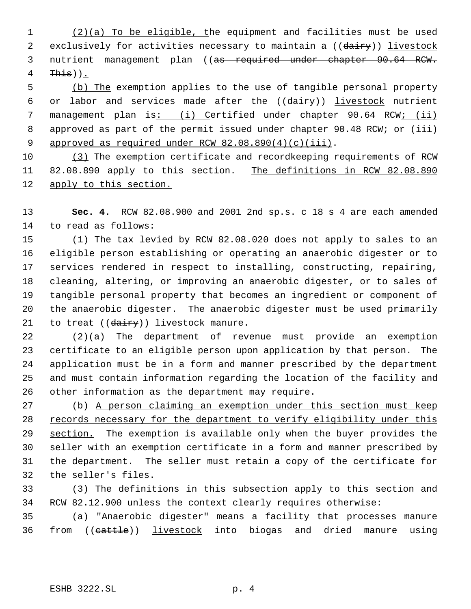(2)(a) To be eligible, the equipment and facilities must be used 2 exclusively for activities necessary to maintain a ((dairy)) livestock 3 nutrient management plan ((as required under chapter 90.64 RCW. This)).

 (b) The exemption applies to the use of tangible personal property 6 or labor and services made after the  $((\text{dairy}))$  livestock nutrient 7 management plan is: (i) Certified under chapter 90.64 RCW; (ii) 8 approved as part of the permit issued under chapter 90.48 RCW; or (iii) 9 approved as required under RCW 82.08.890(4)(c)(iii).

 (3) The exemption certificate and recordkeeping requirements of RCW 11 82.08.890 apply to this section. The definitions in RCW 82.08.890 apply to this section.

 **Sec. 4.** RCW 82.08.900 and 2001 2nd sp.s. c 18 s 4 are each amended to read as follows:

 (1) The tax levied by RCW 82.08.020 does not apply to sales to an eligible person establishing or operating an anaerobic digester or to services rendered in respect to installing, constructing, repairing, cleaning, altering, or improving an anaerobic digester, or to sales of tangible personal property that becomes an ingredient or component of the anaerobic digester. The anaerobic digester must be used primarily 21 to treat ((dairy)) livestock manure.

 (2)(a) The department of revenue must provide an exemption certificate to an eligible person upon application by that person. The application must be in a form and manner prescribed by the department and must contain information regarding the location of the facility and other information as the department may require.

 (b) A person claiming an exemption under this section must keep 28 records necessary for the department to verify eligibility under this 29 section. The exemption is available only when the buyer provides the seller with an exemption certificate in a form and manner prescribed by the department. The seller must retain a copy of the certificate for the seller's files.

 (3) The definitions in this subsection apply to this section and RCW 82.12.900 unless the context clearly requires otherwise:

 (a) "Anaerobic digester" means a facility that processes manure 36 from ((cattle)) livestock into biogas and dried manure using